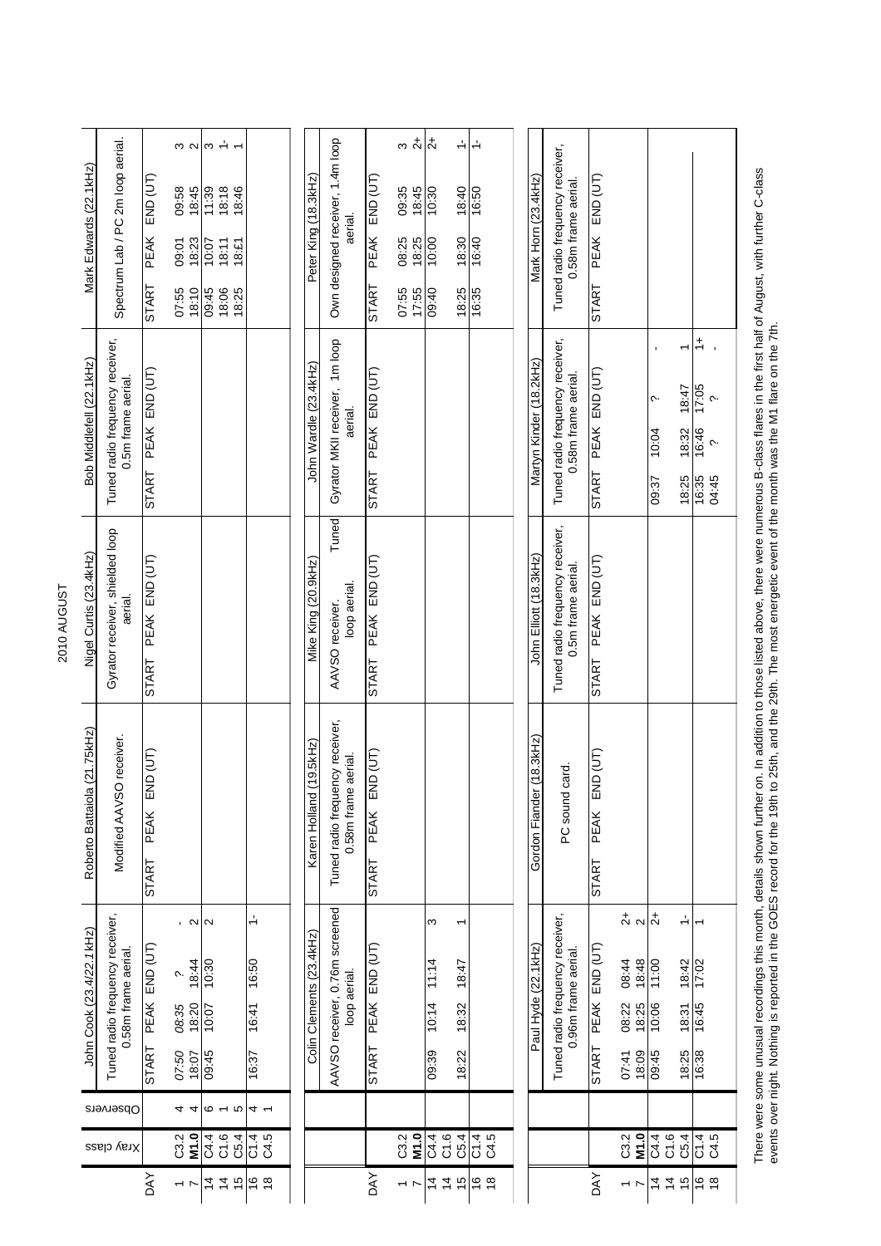| Mark Edwards (22.1kHz)       | Spectrum Lab / PC 2m loop aerial.                      | END (UT)<br>PEAK<br><b>START</b>        | 09:58<br>18:45<br>18:23<br>09:01<br>07:55<br>18:10     | $\frac{1}{2}$ $\frac{1}{2}$ $\frac{1}{2}$ $\frac{1}{2}$ $\frac{1}{2}$ $\frac{1}{2}$ $\frac{1}{2}$ $\frac{1}{2}$ $\frac{1}{2}$ $\frac{1}{2}$ $\frac{1}{2}$ $\frac{1}{2}$<br>11:39<br>18:18<br>10:07<br>18:11<br>09:45<br>18:06 | 18:46<br>18:£1<br>18:25           | Peter King (18.3kHz)     | Own designed receiver, 1.4m loop<br>aerial.            | PEAK END (UT)<br><b>START</b> | $\frac{1}{2}$<br>09:35<br>18:45<br>18:25<br>08:25<br>17:55<br>07:55 | $\overline{a}$<br>10:30<br>10:00<br>09:40 | $\div$<br>18:40<br>18:30<br>18:25 | $\div$<br>16:50<br>16:40<br>16:35 | Mark Horn (23.4kHz)      | Tuned radio frequency receiver,<br>0.58m frame aerial. | PEAK END (UT)<br><b>START</b>             |                                                                     |                                           |                                   |                                                                                           |                                                                                                                                                                                                  |
|------------------------------|--------------------------------------------------------|-----------------------------------------|--------------------------------------------------------|-------------------------------------------------------------------------------------------------------------------------------------------------------------------------------------------------------------------------------|-----------------------------------|--------------------------|--------------------------------------------------------|-------------------------------|---------------------------------------------------------------------|-------------------------------------------|-----------------------------------|-----------------------------------|--------------------------|--------------------------------------------------------|-------------------------------------------|---------------------------------------------------------------------|-------------------------------------------|-----------------------------------|-------------------------------------------------------------------------------------------|--------------------------------------------------------------------------------------------------------------------------------------------------------------------------------------------------|
| Bob Middlefell (22.1kHz)     | Tuned radio frequency receiver,<br>0.5m frame aerial.  | PEAK END (UT)<br><b>START</b>           |                                                        |                                                                                                                                                                                                                               |                                   | John Wardle (23.4kHz)    | Gyrator MKII receiver, 1m loop<br>aerial.              | START PEAK END (UT)           |                                                                     |                                           |                                   |                                   | Martyn Kinder (18.2kHz)  | Tuned radio frequency receiver,<br>0.58m frame aerial. | START PEAK END (UT)                       |                                                                     | ς.<br>10:04<br>09:37                      | ٣<br>18:47<br>18:32<br>18:25      | $\stackrel{+}{\rightharpoondown}$<br>17:05<br>$\sim$<br>16:46<br>$\sim$<br>16:35<br>04:45 |                                                                                                                                                                                                  |
| Nigel Curtis (23.4kHz)       | Gyrator receiver, shielded loop<br>aerial.             | PEAK END (UT)<br><b>START</b>           |                                                        |                                                                                                                                                                                                                               |                                   | Mike King (20.9kHz)      | Tuned<br>loop aerial.<br>AAVSO receiver.               | START PEAK END (UT)           |                                                                     |                                           |                                   |                                   | John Elliott (18.3kHz)   | Tuned radio frequency receiver,<br>0.5m frame aerial.  | START PEAK END (UT)                       |                                                                     |                                           |                                   |                                                                                           |                                                                                                                                                                                                  |
| Roberto Battaiola (21.75kHz) | Modified AAVSO receiver.                               | END (UT)<br><b>PEAK</b><br><b>START</b> |                                                        |                                                                                                                                                                                                                               |                                   | Karen Holland (19.5kHz)  | Tuned radio frequency receiver,<br>0.58m frame aerial. | PEAK END (UT)<br>START        |                                                                     |                                           |                                   |                                   | Gordon Fiander (18.3kHz) | PC sound card.                                         | $END$ (UT)<br><b>PEAK</b><br><b>START</b> |                                                                     |                                           |                                   |                                                                                           | There were some unusual recordings this month, details shown further on. In addition to those listed above, there were numerous B-class flares in the first half of August, with further C-class |
| John Cook (23.4/22.1 kHz)    | Tuned radio frequency receiver,<br>0.58m frame aerial. | PEAK END (UT)<br><b>START</b>           | , ດ ດ<br>18:44<br>ς.<br>08:35<br>18:20<br>750<br>18:07 | 10:30<br>10:07<br>09:45                                                                                                                                                                                                       | $\div$<br>16:50<br>16:41<br>16:37 | Colin Clements (23.4kHz) | AAVSO receiver, 0.76m screened<br>loop aerial.         | PEAK END (UT)<br><b>START</b> |                                                                     | S<br>11:14<br>10:14<br>09:39              | ᡪ<br>18:47<br>18:32<br>18:22      |                                   | Paul Hyde (22.1kHz)      | Tuned radio frequency receiver,<br>0.96m frame aerial. | PEAK END (UT)<br><b>START</b>             | $\frac{1}{2}$<br>18:48<br>08:44<br>08:22<br>18:25<br>07:41<br>18:09 | $\overline{c}$<br>11:00<br>10:06<br>09:45 | $\div$<br>18:42<br>18:31<br>18:25 | $\overline{ }$<br>17:02<br>16:45<br>16:38                                                 |                                                                                                                                                                                                  |
| Observers                    |                                                        |                                         | 44                                                     | $\sigma$ $\sim$ $\sigma$                                                                                                                                                                                                      | 4 -                               |                          |                                                        |                               |                                                                     |                                           |                                   |                                   |                          |                                                        |                                           |                                                                     |                                           |                                   |                                                                                           |                                                                                                                                                                                                  |
|                              | Xray class                                             |                                         | $C3.2$<br>M1.0                                         | C1.6<br>C4.4                                                                                                                                                                                                                  | C5.4<br>C 4<br>C 4<br>C 4         |                          |                                                        |                               | M1.0<br>C3.2                                                        | $\frac{4}{3}$                             | C1.6<br>C5.4                      | C1.4<br>C4.5                      |                          |                                                        |                                           | M1.0<br>C3.2                                                        | C1.6<br>C4.4                              | C5.4                              | $\overline{C4.5}$                                                                         |                                                                                                                                                                                                  |
|                              |                                                        | <b>DAY</b>                              | $\overline{ }$ $\overline{ }$                          | $\overline{4}$<br>$\frac{4}{3}$                                                                                                                                                                                               | $\frac{1}{2}$<br>$\frac{6}{9}$    |                          |                                                        | DAY                           | $\overline{\phantom{a}}$                                            | $\overline{4}$                            | $\overline{4}$<br>$\frac{1}{2}$   | $\frac{6}{6}$                     |                          |                                                        | <b>DAY</b>                                | $\overline{1}$                                                      | $\dot{4}$                                 | $4\overline{6}$                   | $\frac{6}{6}$                                                                             |                                                                                                                                                                                                  |

There were some unusual recordings this month, details shown further on. In addition to those listed above, there were numerous B-class flares in the first half of August, with further C-class<br>events over night. Nothing is events over night. Nothing is reported in the GOES record for the 19th to 25th, and the 29th. The most energetic event of the month was the M1 flare on the 7th.

## 2010 AUGUST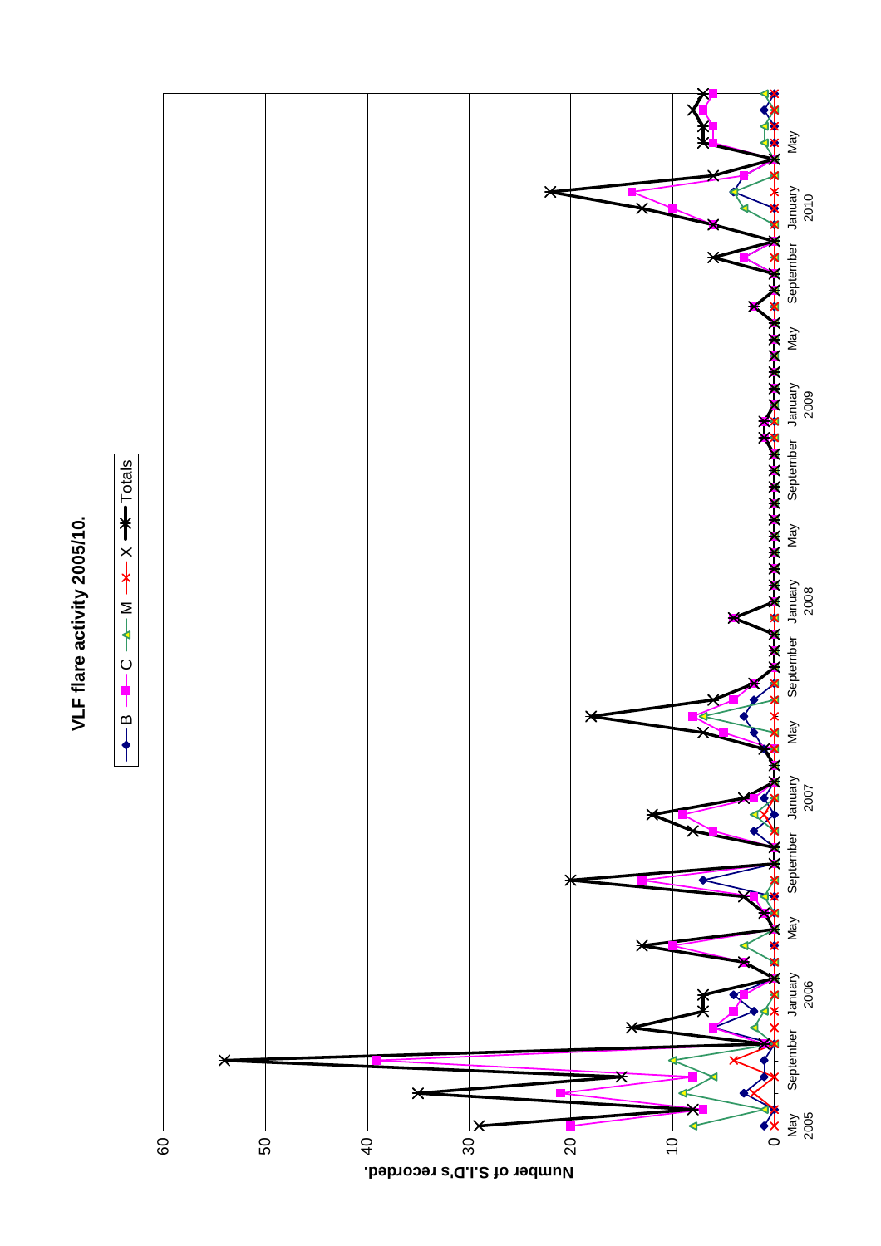

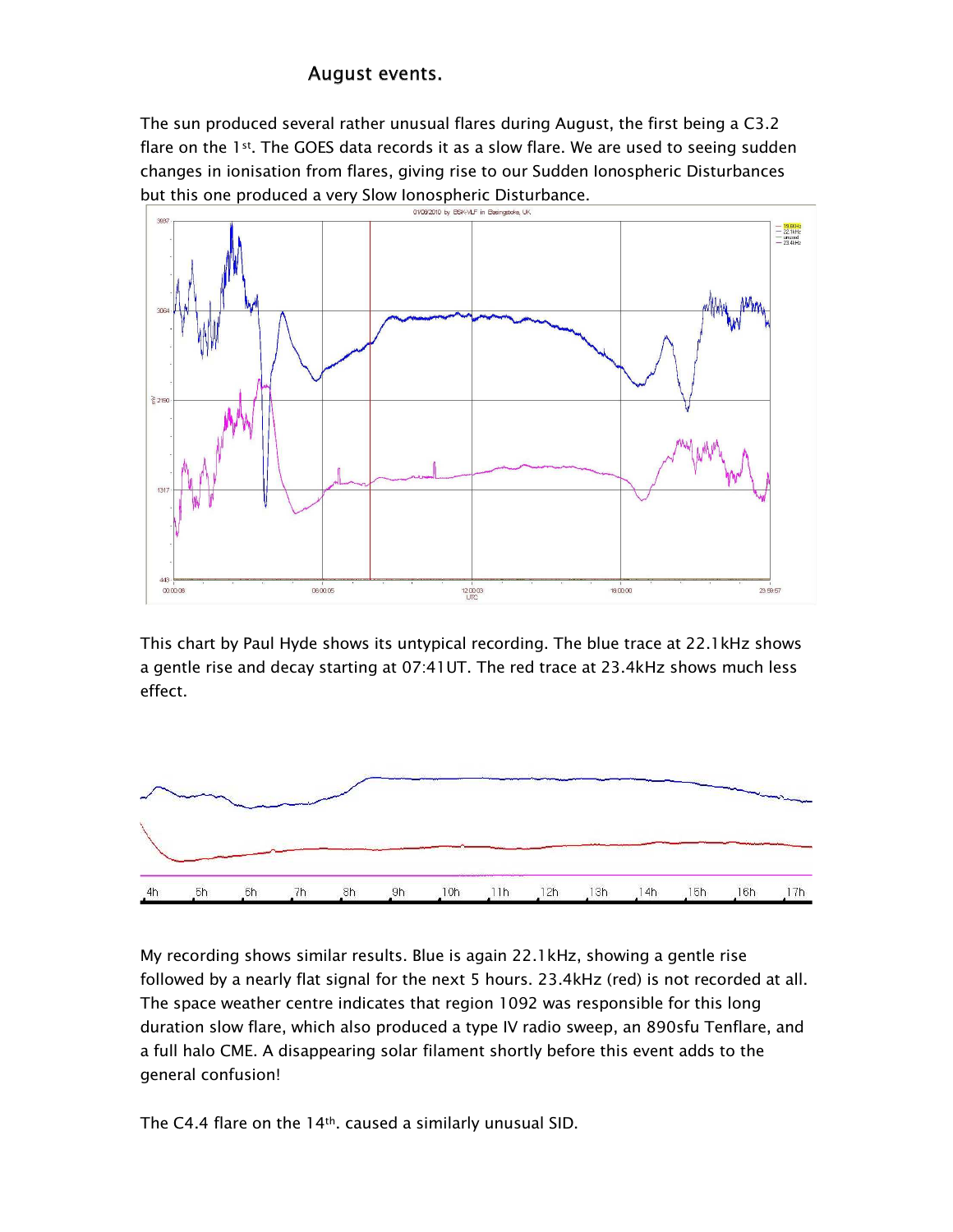## August events.

The sun produced several rather unusual flares during August, the first being a C3.2 flare on the 1st. The GOES data records it as a slow flare. We are used to seeing sudden changes in ionisation from flares, giving rise to our Sudden Ionospheric Disturbances but this one produced a very Slow Ionospheric Disturbance.



This chart by Paul Hyde shows its untypical recording. The blue trace at 22.1 kHz shows a gentle rise and decay starting at 07:41UT. The red trace at 23.4kHz shows much less effect.



My recording shows similar results. Blue is again 22.1 kHz, showing a gentle rise followed by a nearly flat signal for the next 5 hours. 23.4kHz (red) is not recorded at all. The space weather centre indicates that region 1092 was responsible for this long duration slow flare, which also produced a type IV radio sweep, an 890sfu Tenflare, and a full halo CME. A disappearing solar filament shortly before this event adds to the general confusion!

The C4.4 flare on the 14<sup>th</sup>. caused a similarly unusual SID.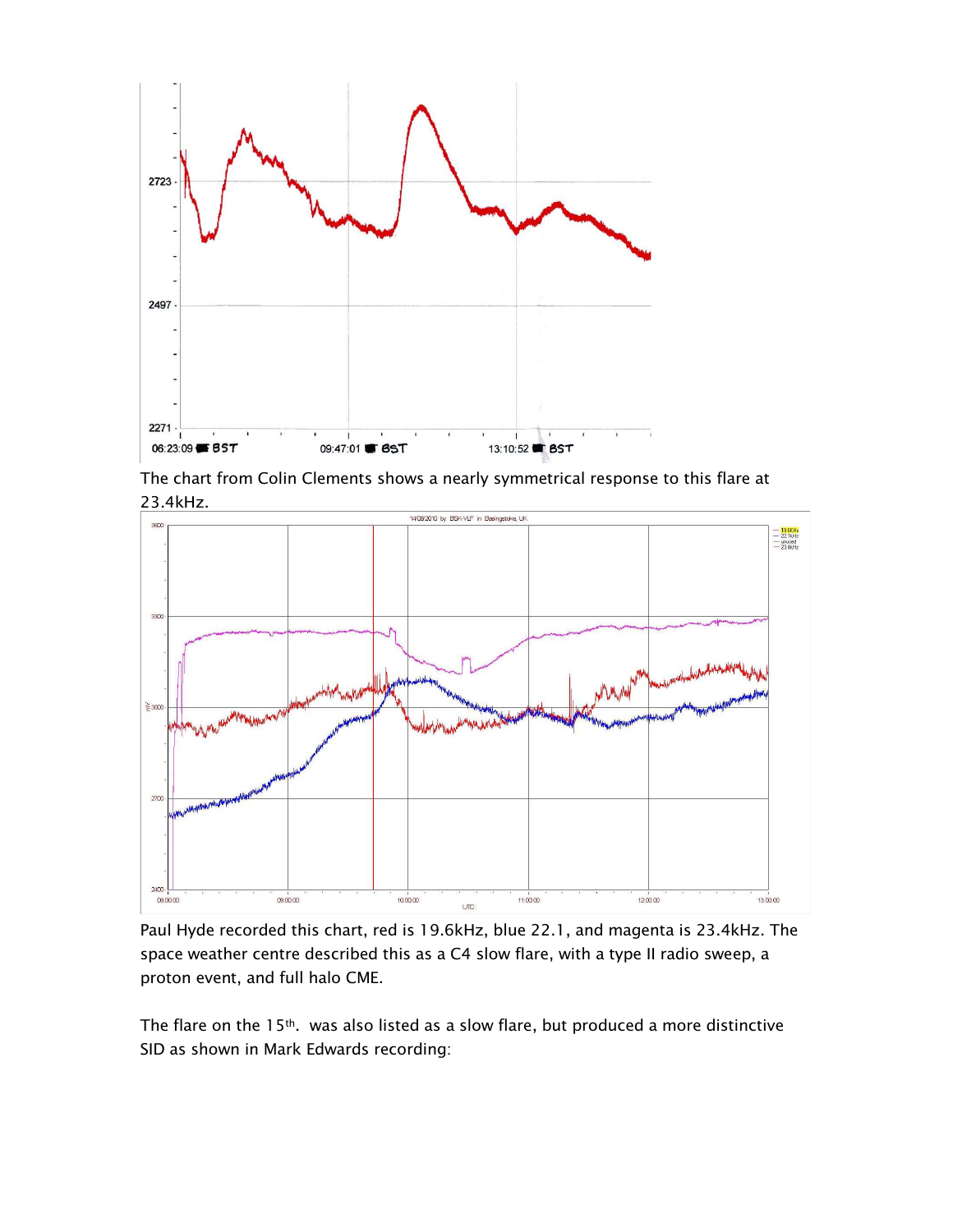

The chart from Colin Clements shows a nearly symmetrical response to this flare at 23.4kHz.



Paul Hyde recorded this chart, red is 19.6kHz, blue 22.1, and magenta is 23.4kHz. The space weather centre described this as a C4 slow flare, with a type II radio sweep, a proton event, and full halo CME.

The flare on the 15<sup>th</sup>. was also listed as a slow flare, but produced a more distinctive SID as shown in Mark Edwards recording: